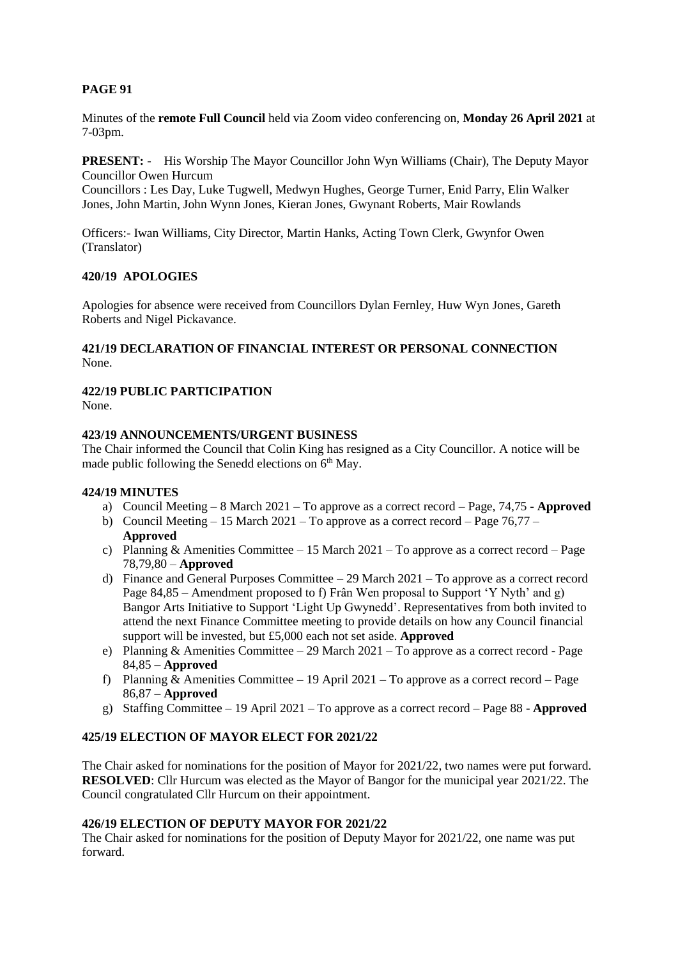# **PAGE 91**

Minutes of the **remote Full Council** held via Zoom video conferencing on, **Monday 26 April 2021** at 7-03pm.

**PRESENT: -** His Worship The Mayor Councillor John Wyn Williams (Chair), The Deputy Mayor Councillor Owen Hurcum

Councillors : Les Day, Luke Tugwell, Medwyn Hughes, George Turner, Enid Parry, Elin Walker Jones, John Martin, John Wynn Jones, Kieran Jones, Gwynant Roberts, Mair Rowlands

Officers:- Iwan Williams, City Director, Martin Hanks, Acting Town Clerk, Gwynfor Owen (Translator)

### **420/19 APOLOGIES**

Apologies for absence were received from Councillors Dylan Fernley, Huw Wyn Jones, Gareth Roberts and Nigel Pickavance.

### **421/19 DECLARATION OF FINANCIAL INTEREST OR PERSONAL CONNECTION** None.

## **422/19 PUBLIC PARTICIPATION**

None.

#### **423/19 ANNOUNCEMENTS/URGENT BUSINESS**

The Chair informed the Council that Colin King has resigned as a City Councillor. A notice will be made public following the Senedd elections on  $6<sup>th</sup>$  May.

#### **424/19 MINUTES**

- a) Council Meeting 8 March 2021 To approve as a correct record Page, 74,75 **Approved**
- b) Council Meeting  $-15$  March 2021 To approve as a correct record Page 76,77 **Approved**
- c) Planning & Amenities Committee 15 March 2021 To approve as a correct record Page 78,79,80 – **Approved**
- d) Finance and General Purposes Committee 29 March 2021 To approve as a correct record Page 84,85 – Amendment proposed to f) Frân Wen proposal to Support 'Y Nyth' and g) Bangor Arts Initiative to Support 'Light Up Gwynedd'. Representatives from both invited to attend the next Finance Committee meeting to provide details on how any Council financial support will be invested, but £5,000 each not set aside. **Approved**
- e) Planning & Amenities Committee 29 March 2021 To approve as a correct record Page 84,85 **– Approved**
- f) Planning  $\&$  Amenities Committee 19 April 2021 To approve as a correct record Page 86,87 – **Approved**
- g) Staffing Committee 19 April 2021 To approve as a correct record Page 88 **Approved**

## **425/19 ELECTION OF MAYOR ELECT FOR 2021/22**

The Chair asked for nominations for the position of Mayor for 2021/22, two names were put forward. **RESOLVED**: Cllr Hurcum was elected as the Mayor of Bangor for the municipal year 2021/22. The Council congratulated Cllr Hurcum on their appointment.

#### **426/19 ELECTION OF DEPUTY MAYOR FOR 2021/22**

The Chair asked for nominations for the position of Deputy Mayor for 2021/22, one name was put forward.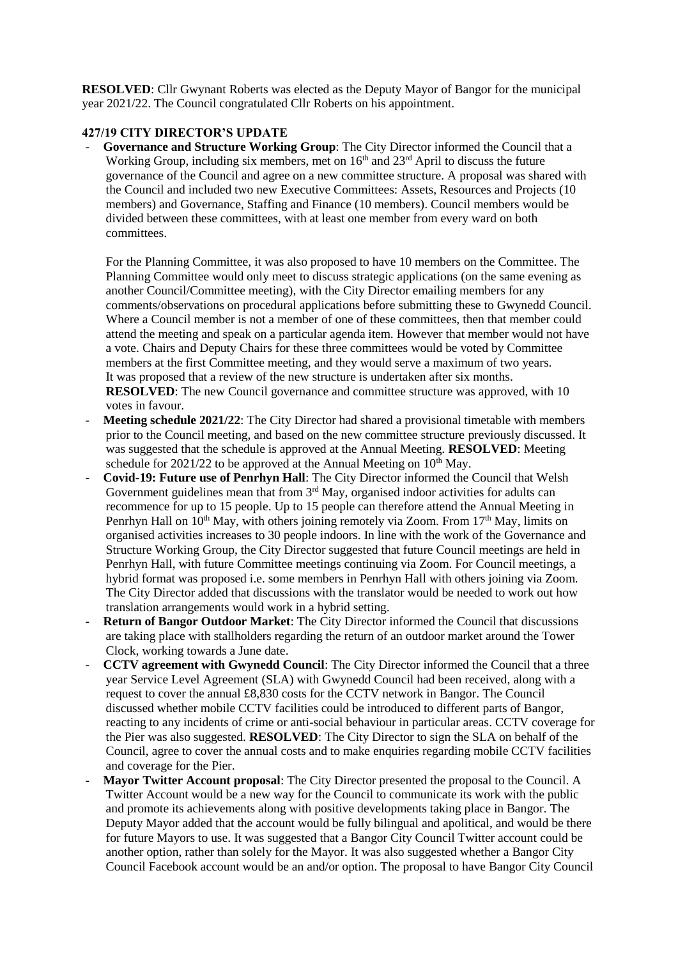**RESOLVED**: Cllr Gwynant Roberts was elected as the Deputy Mayor of Bangor for the municipal year 2021/22. The Council congratulated Cllr Roberts on his appointment.

## **427/19 CITY DIRECTOR'S UPDATE**

- **Governance and Structure Working Group**: The City Director informed the Council that a Working Group, including six members, met on 16<sup>th</sup> and 23<sup>rd</sup> April to discuss the future governance of the Council and agree on a new committee structure. A proposal was shared with the Council and included two new Executive Committees: Assets, Resources and Projects (10 members) and Governance, Staffing and Finance (10 members). Council members would be divided between these committees, with at least one member from every ward on both committees.

For the Planning Committee, it was also proposed to have 10 members on the Committee. The Planning Committee would only meet to discuss strategic applications (on the same evening as another Council/Committee meeting), with the City Director emailing members for any comments/observations on procedural applications before submitting these to Gwynedd Council. Where a Council member is not a member of one of these committees, then that member could attend the meeting and speak on a particular agenda item. However that member would not have a vote. Chairs and Deputy Chairs for these three committees would be voted by Committee members at the first Committee meeting, and they would serve a maximum of two years. It was proposed that a review of the new structure is undertaken after six months. **RESOLVED**: The new Council governance and committee structure was approved, with 10 votes in favour.

- **Meeting schedule 2021/22:** The City Director had shared a provisional timetable with members prior to the Council meeting, and based on the new committee structure previously discussed. It was suggested that the schedule is approved at the Annual Meeting. **RESOLVED**: Meeting schedule for  $2021/22$  to be approved at the Annual Meeting on  $10<sup>th</sup>$  May.
- **Covid-19: Future use of Penrhyn Hall**: The City Director informed the Council that Welsh Government guidelines mean that from  $3<sup>rd</sup>$  May, organised indoor activities for adults can recommence for up to 15 people. Up to 15 people can therefore attend the Annual Meeting in Penrhyn Hall on  $10<sup>th</sup>$  May, with others joining remotely via Zoom. From  $17<sup>th</sup>$  May, limits on organised activities increases to 30 people indoors. In line with the work of the Governance and Structure Working Group, the City Director suggested that future Council meetings are held in Penrhyn Hall, with future Committee meetings continuing via Zoom. For Council meetings, a hybrid format was proposed i.e. some members in Penrhyn Hall with others joining via Zoom. The City Director added that discussions with the translator would be needed to work out how translation arrangements would work in a hybrid setting.
- **Return of Bangor Outdoor Market**: The City Director informed the Council that discussions are taking place with stallholders regarding the return of an outdoor market around the Tower Clock, working towards a June date.
- **CCTV agreement with Gwynedd Council**: The City Director informed the Council that a three year Service Level Agreement (SLA) with Gwynedd Council had been received, along with a request to cover the annual £8,830 costs for the CCTV network in Bangor. The Council discussed whether mobile CCTV facilities could be introduced to different parts of Bangor, reacting to any incidents of crime or anti-social behaviour in particular areas. CCTV coverage for the Pier was also suggested. **RESOLVED**: The City Director to sign the SLA on behalf of the Council, agree to cover the annual costs and to make enquiries regarding mobile CCTV facilities and coverage for the Pier.
- Mayor Twitter Account proposal: The City Director presented the proposal to the Council. A Twitter Account would be a new way for the Council to communicate its work with the public and promote its achievements along with positive developments taking place in Bangor. The Deputy Mayor added that the account would be fully bilingual and apolitical, and would be there for future Mayors to use. It was suggested that a Bangor City Council Twitter account could be another option, rather than solely for the Mayor. It was also suggested whether a Bangor City Council Facebook account would be an and/or option. The proposal to have Bangor City Council